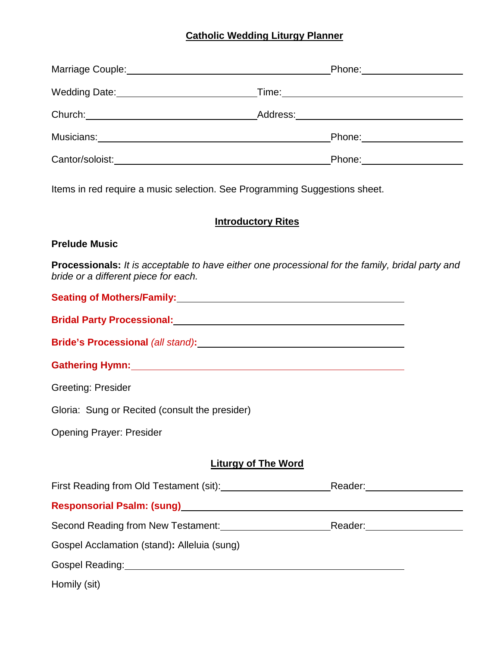# **Catholic Wedding Liturgy Planner**

|                                                                                                                                                                                                                                | Wedding Date: ___________________________________Time:__________________________ |  |
|--------------------------------------------------------------------------------------------------------------------------------------------------------------------------------------------------------------------------------|----------------------------------------------------------------------------------|--|
|                                                                                                                                                                                                                                |                                                                                  |  |
| Musicians: Musicians: Musicians: Musicians: Musicians: Musicians: Musicians: Musicians: Musicians: Musicians: Musicians: Musicians: Musicians: Musicians: Musicians: Musicians: Musicians: Musicians: Musicians: Musicians: Mu | Phone: _____________________                                                     |  |
|                                                                                                                                                                                                                                |                                                                                  |  |
| Items in red require a music selection. See Programming Suggestions sheet.<br><b>Introductory Rites</b>                                                                                                                        |                                                                                  |  |
| <b>Prelude Music</b>                                                                                                                                                                                                           |                                                                                  |  |
| <b>Processionals:</b> It is acceptable to have either one processional for the family, bridal party and<br>bride or a different piece for each.                                                                                |                                                                                  |  |
| Seating of Mothers/Family: Manual Manual Manual Manual Manual Manual Manual Manual Manual Manual Manual Manual                                                                                                                 |                                                                                  |  |
| <b>Bridal Party Processional:</b>                                                                                                                                                                                              |                                                                                  |  |

**Bride's Processional** *(all stand)***:**

**Gathering Hymn:**

Greeting: Presider

Gloria: Sung or Recited (consult the presider)

Opening Prayer: Presider

# **Liturgy of The Word**

| First Reading from Old Testament (sit):     | Reader: |  |
|---------------------------------------------|---------|--|
| <b>Responsorial Psalm: (sung)</b>           |         |  |
| Second Reading from New Testament:          | Reader: |  |
| Gospel Acclamation (stand): Alleluia (sung) |         |  |
| Gospel Reading:                             |         |  |

Homily (sit)